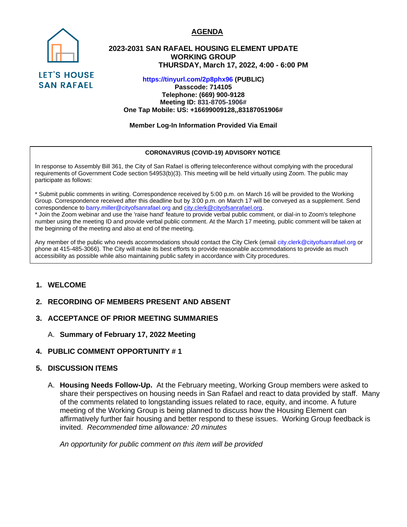

SAN RAFAEL

# **2023-2031 SAN RAFAEL HOUSING ELEMENT UPDATE WORKING GROUP THURSDAY, March 17, 2022, 4:00 - 6:00 PM**

**https://tinyurl.com/2p8phx96 (PUBLIC) Passcode: 714105**

**Telephone: (669) 900-9128 Meeting ID: 831-8705-1906# One Tap Mobile: US: +16699009128,,83187051906#**

**Member Log-In Information Provided Via Email**

### **CORONAVIRUS (COVID-19) ADVISORY NOTICE**

In response to Assembly Bill 361, the City of San Rafael is offering teleconference without complying with the procedural requirements of Government Code section 54953(b)(3). This meeting will be held virtually using Zoom. The public may participate as follows:

\* Submit public comments in writing. Correspondence received by 5:00 p.m. on March 16 will be provided to the Working Group. Correspondence received after this deadline but by 3:00 p.m. on March 17 will be conveyed as a supplement. Send correspondence to barry.miller@cityofsanrafael.org and [city.clerk@cityofsanrafael.org.](mailto:city.clerk@cityofsanrafael.org)

\* Join the Zoom webinar and use the 'raise hand' feature to provide verbal public comment, or dial-in to Zoom's telephone number using the meeting ID and provide verbal public comment. At the March 17 meeting, public comment will be taken at the beginning of the meeting and also at end of the meeting.

Any member of the public who needs accommodations should contact the City Clerk (email city.clerk@cityofsanrafael.org or phone at 415-485-3066). The City will make its best efforts to provide reasonable accommodations to provide as much accessibility as possible while also maintaining public safety in accordance with City procedures.

## **1. WELCOME**

## **2. RECORDING OF MEMBERS PRESENT AND ABSENT**

### **3. ACCEPTANCE OF PRIOR MEETING SUMMARIES**

- A. **Summary of February 17, 2022 Meeting**
- **4. PUBLIC COMMENT OPPORTUNITY # 1**

### **5. DISCUSSION ITEMS**

A. **Housing Needs Follow-Up.** At the February meeting, Working Group members were asked to share their perspectives on housing needs in San Rafael and react to data provided by staff. Many of the comments related to longstanding issues related to race, equity, and income. A future meeting of the Working Group is being planned to discuss how the Housing Element can affirmatively further fair housing and better respond to these issues. Working Group feedback is invited. *Recommended time allowance: 20 minutes*

*An opportunity for public comment on this item will be provided* 

#### **AGENDA**